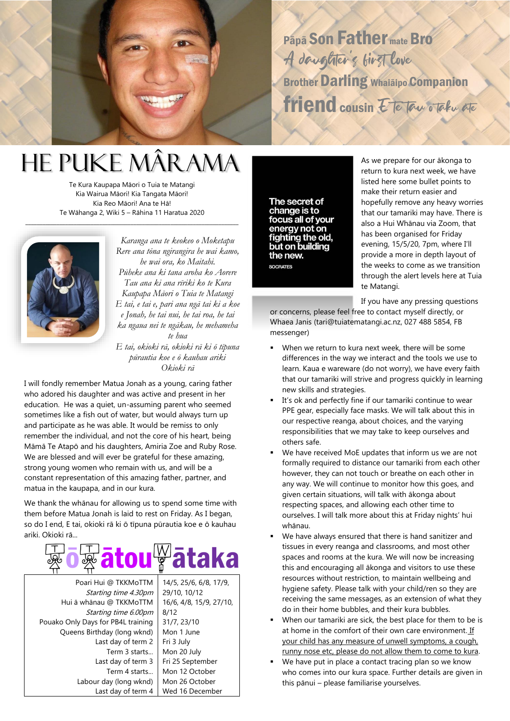Pāpā Son Father mate Bro A daughter's first love Brother Darling Whaiāipo Companion friend cousin E te tau o taku ate

## He Puke Mârama

Te Kura Kaupapa Māori o Tuia te Matangi Kia Wairua Māori! Kia Tangata Māori! Kia Reo Māori! Ana te Hā! Te Wāhanga 2, Wiki 5 – Rāhina 11 Haratua 2020

\_\_\_\_\_\_\_\_\_\_\_\_\_\_\_\_\_\_\_\_\_\_\_\_\_\_\_\_\_\_\_\_\_\_\_\_\_\_\_\_\_\_\_\_\_\_\_\_\_\_\_\_\_\_\_\_\_\_\_\_\_\_\_\_\_\_\_\_\_\_\_\_\_\_\_



*Karanga ana te keokeo o Moketapu Rere ana tōna ngirangira he wai kamo, he wai ora, ko Maitahi. Pūheke ana ki tana aroha ko Aorere Tau ana ki ana rīriki ko te Kura Kaupapa Māori o Tuia te Matangi E tai, e tai e, pari ana ngā tai ki a koe e Jonah, he tai nui, he tai roa, he tai ka ngaua nei te ngākau, he mehameha te hua*

*E tai, okioki rā, okioki rā ki ō tīpuna pūrautia koe e ō kauhau ariki Okioki rā*

I will fondly remember Matua Jonah as a young, caring father who adored his daughter and was active and present in her education. He was a quiet, un-assuming parent who seemed sometimes like a fish out of water, but would always turn up and participate as he was able. It would be remiss to only remember the individual, and not the core of his heart, being Māmā Te Atapō and his daughters, Amiria Zoe and Ruby Rose. We are blessed and will ever be grateful for these amazing, strong young women who remain with us, and will be a constant representation of this amazing father, partner, and matua in the kaupapa, and in our kura.

We thank the whānau for allowing us to spend some time with them before Matua Jonah is laid to rest on Friday. As I began, so do I end, E tai, okioki rā ki ō tīpuna pūrautia koe e ō kauhau ariki. Okioki rā...

## **Watouwataka**

| Poari Hui @ TKKMoTTM               | 14/5, 25/6, 6/8, 17/9,  |
|------------------------------------|-------------------------|
| Starting time 4.30pm               | 29/10, 10/12            |
| Hui ā whānau @ TKKMoTTM            | 16/6, 4/8, 15/9, 27/10, |
| Starting time 6.00pm               | 8/12                    |
| Pouako Only Days for PB4L training | 31/7, 23/10             |
| Queens Birthday (long wknd)        | Mon 1 June              |
| Last day of term 2                 | Fri 3 July              |
| Term 3 starts                      | Mon 20 July             |
| Last day of term 3                 | Fri 25 September        |
| Term 4 starts                      | Mon 12 October          |
| Labour day (long wknd)             | Mon 26 October          |
| Last day of term 4                 | Wed 16 December         |

The secret of change is to focus all of your energy not on ighting the old, but on building the new. **SOCRATES** 

As we prepare for our ākonga to return to kura next week, we have listed here some bullet points to make their return easier and hopefully remove any heavy worries that our tamariki may have. There is also a Hui Whānau via Zoom, that has been organised for Friday evening, 15/5/20, 7pm, where I'll provide a more in depth layout of the weeks to come as we transition through the alert levels here at Tuia te Matangi.

If you have any pressing questions

or concerns, please feel free to contact myself directly, or Whaea Janis [\(tari@tuiatematangi.ac.nz,](mailto:tari@tuiatematangi.ac.nz) 027 488 5854, FB messenger)

- When we return to kura next week, there will be some differences in the way we interact and the tools we use to learn. Kaua e wareware (do not worry), we have every faith that our tamariki will strive and progress quickly in learning new skills and strategies.
- It's ok and perfectly fine if our tamariki continue to wear PPE gear, especially face masks. We will talk about this in our respective reanga, about choices, and the varying responsibilities that we may take to keep ourselves and others safe.
- We have received MoE updates that inform us we are not formally required to distance our tamariki from each other however, they can not touch or breathe on each other in any way. We will continue to monitor how this goes, and given certain situations, will talk with ākonga about respecting spaces, and allowing each other time to ourselves. I will talk more about this at Friday nights' hui whānau.
- We have always ensured that there is hand sanitizer and tissues in every reanga and classrooms, and most other spaces and rooms at the kura. We will now be increasing this and encouraging all ākonga and visitors to use these resources without restriction, to maintain wellbeing and hygiene safety. Please talk with your child/ren so they are receiving the same messages, as an extension of what they do in their home bubbles, and their kura bubbles.
- When our tamariki are sick, the best place for them to be is at home in the comfort of their own care environment. If your child has any measure of unwell symptoms, a cough, runny nose etc, please do not allow them to come to kura.
- We have put in place a contact tracing plan so we know who comes into our kura space. Further details are given in this pānui – please familiarise yourselves.